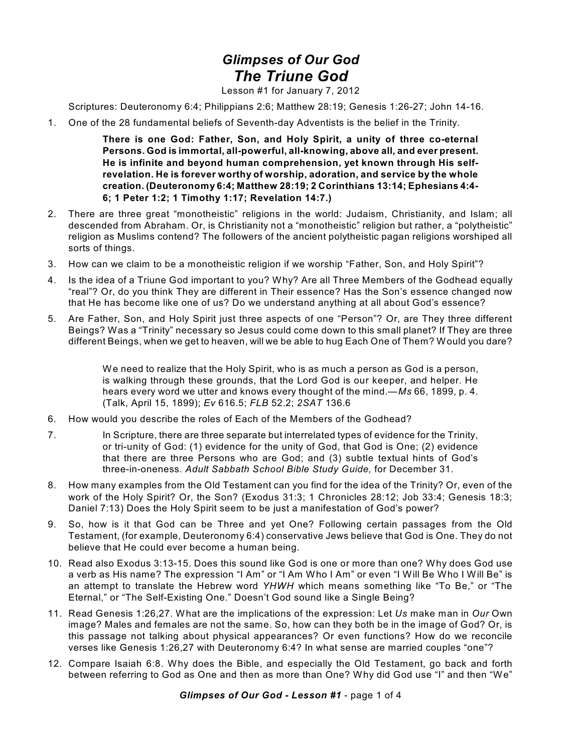## *Glimpses of Our God The Triune God*

Lesson #1 for January 7, 2012

Scriptures: Deuteronomy 6:4; Philippians 2:6; Matthew 28:19; Genesis 1:26-27; John 14-16.

1. One of the 28 fundamental beliefs of Seventh-day Adventists is the belief in the Trinity.

**There is one God: Father, Son, and Holy Spirit, a unity of three co-eternal Persons. God is immortal, all-powerful, all-knowing, above all, and ever present. He is infinite and beyond human comprehension, yet known through His selfrevelation. He is forever worthy of worship, adoration, and service by the whole creation. (Deuteronomy 6:4; Matthew 28:19; 2 Corinthians 13:14; Ephesians 4:4- 6; 1 Peter 1:2; 1 Timothy 1:17; Revelation 14:7.)**

- 2. There are three great "monotheistic" religions in the world: Judaism, Christianity, and Islam; all descended from Abraham. Or, is Christianity not a "monotheistic" religion but rather, a "polytheistic" religion as Muslims contend? The followers of the ancient polytheistic pagan religions worshiped all sorts of things.
- 3. How can we claim to be a monotheistic religion if we worship "Father, Son, and Holy Spirit"?
- 4. Is the idea of a Triune God important to you? Why? Are all Three Members of the Godhead equally "real"? Or, do you think They are different in Their essence? Has the Son's essence changed now that He has become like one of us? Do we understand anything at all about God's essence?
- 5. Are Father, Son, and Holy Spirit just three aspects of one "Person"? Or, are They three different Beings? Was a "Trinity" necessary so Jesus could come down to this small planet? If They are three different Beings, when we get to heaven, will we be able to hug Each One of Them? Would you dare?

We need to realize that the Holy Spirit, who is as much a person as God is a person, is walking through these grounds, that the Lord God is our keeper, and helper. He hears every word we utter and knows every thought of the mind.—*Ms* 66, 1899, p. 4. (Talk, April 15, 1899); *Ev* 616.5; *FLB* 52.2; *2SAT* 136.6

- 6. How would you describe the roles of Each of the Members of the Godhead?
- 7. In Scripture, there are three separate but interrelated types of evidence for the Trinity, or tri-unity of God: (1) evidence for the unity of God, that God is One; (2) evidence that there are three Persons who are God; and (3) subtle textual hints of God's three-in-oneness. *Adult Sabbath School Bible Study Guide,* for December 31.
- 8. How many examples from the Old Testament can you find for the idea of the Trinity? Or, even of the work of the Holy Spirit? Or, the Son? (Exodus 31:3; 1 Chronicles 28:12; Job 33:4; Genesis 18:3; Daniel 7:13) Does the Holy Spirit seem to be just a manifestation of God's power?
- 9. So, how is it that God can be Three and yet One? Following certain passages from the Old Testament, (for example, Deuteronomy 6:4) conservative Jews believe that God is One. They do not believe that He could ever become a human being.
- 10. Read also Exodus 3:13-15. Does this sound like God is one or more than one? Why does God use a verb as His name? The expression "I Am" or "I Am Who I Am" or even "I Will Be Who I Will Be" is an attempt to translate the Hebrew word *YHWH* which means something like "To Be," or "The Eternal," or "The Self-Existing One." Doesn't God sound like a Single Being?
- 11. Read Genesis 1:26,27. What are the implications of the expression: Let *Us* make man in *Our* Own image? Males and females are not the same. So, how can they both be in the image of God? Or, is this passage not talking about physical appearances? Or even functions? How do we reconcile verses like Genesis 1:26,27 with Deuteronomy 6:4? In what sense are married couples "one"?
- 12. Compare Isaiah 6:8. Why does the Bible, and especially the Old Testament, go back and forth between referring to God as One and then as more than One? Why did God use "I" and then "We"

## *Glimpses of Our God - Lesson #1* - page 1 of 4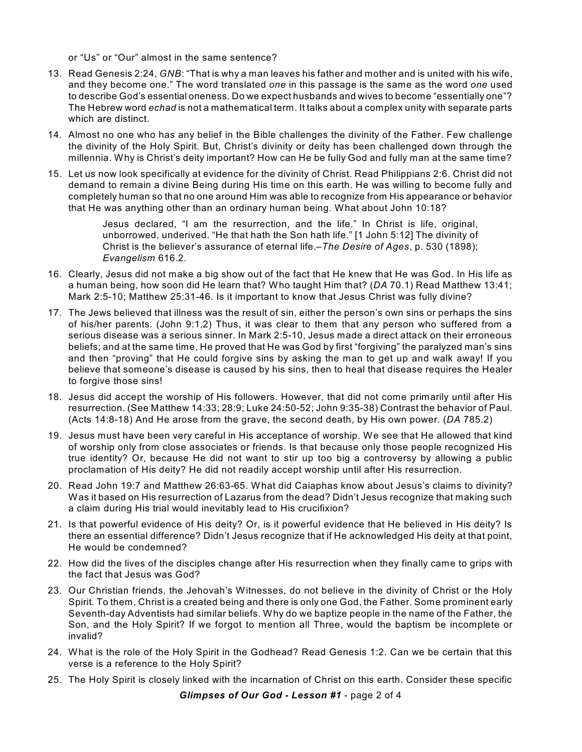or "Us" or "Our" almost in the same sentence?

- 13. Read Genesis 2:24, *GNB*: "That is why a man leaves his father and mother and is united with his wife, and they become one." The word translated *one* in this passage is the same as the word *one* used to describe God's essential oneness. Do we expect husbands and wives to become "essentially one"? The Hebrew word *echad* is not a mathematical term. It talks about a complex unity with separate parts which are distinct.
- 14. Almost no one who has any belief in the Bible challenges the divinity of the Father. Few challenge the divinity of the Holy Spirit. But, Christ's divinity or deity has been challenged down through the millennia. Why is Christ's deity important? How can He be fully God and fully man at the same time?
- 15. Let us now look specifically at evidence for the divinity of Christ. Read Philippians 2:6. Christ did not demand to remain a divine Being during His time on this earth. He was willing to become fully and completely human so that no one around Him was able to recognize from His appearance or behavior that He was anything other than an ordinary human being. What about John 10:18?

Jesus declared, "I am the resurrection, and the life." In Christ is life, original, unborrowed, underived. "He that hath the Son hath life." [1 John 5:12] The divinity of Christ is the believer's assurance of eternal life.–*The Desire of Ages*, p. 530 (1898); *Evangelism* 616.2.

- 16. Clearly, Jesus did not make a big show out of the fact that He knew that He was God. In His life as a human being, how soon did He learn that? Who taught Him that? (*DA* 70.1) Read Matthew 13:41; Mark 2:5-10; Matthew 25:31-46. Is it important to know that Jesus Christ was fully divine?
- 17. The Jews believed that illness was the result of sin, either the person's own sins or perhaps the sins of his/her parents. (John 9:1,2) Thus, it was clear to them that any person who suffered from a serious disease was a serious sinner. In Mark 2:5-10, Jesus made a direct attack on their erroneous beliefs; and at the same time, He proved that He was God by first "forgiving" the paralyzed man's sins and then "proving" that He could forgive sins by asking the man to get up and walk away! If you believe that someone's disease is caused by his sins, then to heal that disease requires the Healer to forgive those sins!
- 18. Jesus did accept the worship of His followers. However, that did not come primarily until after His resurrection. (See Matthew 14:33; 28:9; Luke 24:50-52; John 9:35-38) Contrast the behavior of Paul. (Acts 14:8-18) And He arose from the grave, the second death, by His own power. (*DA* 785.2)
- 19. Jesus must have been very careful in His acceptance of worship. We see that He allowed that kind of worship only from close associates or friends. Is that because only those people recognized His true identity? Or, because He did not want to stir up too big a controversy by allowing a public proclamation of His deity? He did not readily accept worship until after His resurrection.
- 20. Read John 19:7 and Matthew 26:63-65. What did Caiaphas know about Jesus's claims to divinity? Was it based on His resurrection of Lazarus from the dead? Didn't Jesus recognize that making such a claim during His trial would inevitably lead to His crucifixion?
- 21. Is that powerful evidence of His deity? Or, is it powerful evidence that He believed in His deity? Is there an essential difference? Didn't Jesus recognize that if He acknowledged His deity at that point, He would be condemned?
- 22. How did the lives of the disciples change after His resurrection when they finally came to grips with the fact that Jesus was God?
- 23. Our Christian friends, the Jehovah's Witnesses, do not believe in the divinity of Christ or the Holy Spirit. To them, Christ is a created being and there is only one God, the Father. Some prominent early Seventh-day Adventists had similar beliefs. Why do we baptize people in the name of the Father, the Son, and the Holy Spirit? If we forgot to mention all Three, would the baptism be incomplete or invalid?
- 24. What is the role of the Holy Spirit in the Godhead? Read Genesis 1:2. Can we be certain that this verse is a reference to the Holy Spirit?
- 25. The Holy Spirit is closely linked with the incarnation of Christ on this earth. Consider these specific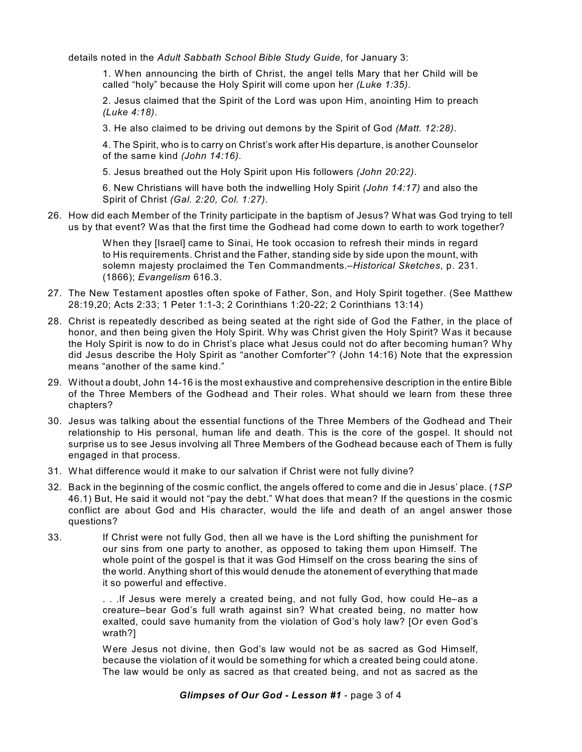details noted in the *Adult Sabbath School Bible Study Guide,* for January 3:

1. When announcing the birth of Christ, the angel tells Mary that her Child will be called "holy" because the Holy Spirit will come upon her *(Luke 1:35)*.

2. Jesus claimed that the Spirit of the Lord was upon Him, anointing Him to preach *(Luke 4:18)*.

3. He also claimed to be driving out demons by the Spirit of God *(Matt. 12:28)*.

4. The Spirit, who is to carry on Christ's work after His departure, is another Counselor of the same kind *(John 14:16)*.

5. Jesus breathed out the Holy Spirit upon His followers *(John 20:22)*.

6. New Christians will have both the indwelling Holy Spirit *(John 14:17)* and also the Spirit of Christ *(Gal. 2:20, Col. 1:27)*.

26. How did each Member of the Trinity participate in the baptism of Jesus? What was God trying to tell us by that event? Was that the first time the Godhead had come down to earth to work together?

> When they [Israel] came to Sinai, He took occasion to refresh their minds in regard to His requirements. Christ and the Father, standing side by side upon the mount, with solemn majesty proclaimed the Ten Commandments.–*Historical Sketches*, p. 231. (1866); *Evangelism* 616.3.

- 27. The New Testament apostles often spoke of Father, Son, and Holy Spirit together. (See Matthew 28:19,20; Acts 2:33; 1 Peter 1:1-3; 2 Corinthians 1:20-22; 2 Corinthians 13:14)
- 28. Christ is repeatedly described as being seated at the right side of God the Father, in the place of honor, and then being given the Holy Spirit. Why was Christ given the Holy Spirit? Was it because the Holy Spirit is now to do in Christ's place what Jesus could not do after becoming human? Why did Jesus describe the Holy Spirit as "another Comforter"? (John 14:16) Note that the expression means "another of the same kind."
- 29. Without a doubt, John 14-16 is the most exhaustive and comprehensive description in the entire Bible of the Three Members of the Godhead and Their roles. What should we learn from these three chapters?
- 30. Jesus was talking about the essential functions of the Three Members of the Godhead and Their relationship to His personal, human life and death. This is the core of the gospel. It should not surprise us to see Jesus involving all Three Members of the Godhead because each of Them is fully engaged in that process.
- 31. What difference would it make to our salvation if Christ were not fully divine?
- 32. Back in the beginning of the cosmic conflict, the angels offered to come and die in Jesus' place. (*1SP* 46.1) But, He said it would not "pay the debt." What does that mean? If the questions in the cosmic conflict are about God and His character, would the life and death of an angel answer those questions?
- 33. If Christ were not fully God, then all we have is the Lord shifting the punishment for our sins from one party to another, as opposed to taking them upon Himself. The whole point of the gospel is that it was God Himself on the cross bearing the sins of the world. Anything short of this would denude the atonement of everything that made it so powerful and effective.

. . .If Jesus were merely a created being, and not fully God, how could He–as a creature–bear God's full wrath against sin? What created being, no matter how exalted, could save humanity from the violation of God's holy law? [Or even God's wrath?]

Were Jesus not divine, then God's law would not be as sacred as God Himself, because the violation of it would be something for which a created being could atone. The law would be only as sacred as that created being, and not as sacred as the